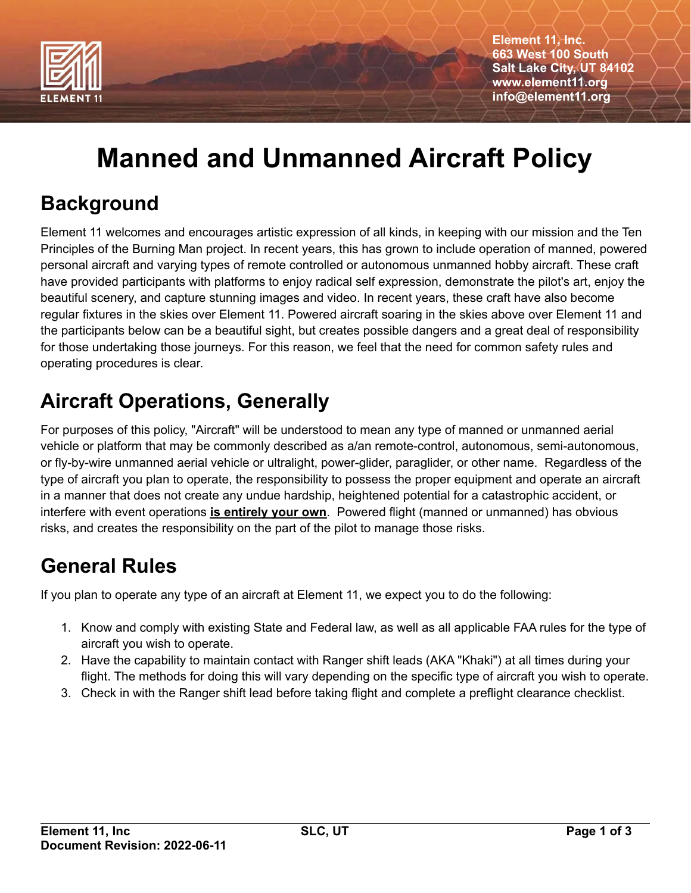

**Element 11, Inc. 663 West 100 South Salt Lake City, UT 84102 www.element11.org info@element11.org**

# **Manned and Unmanned Aircraft Policy**

#### **Background**

Element 11 welcomes and encourages artistic expression of all kinds, in keeping with our mission and the Ten Principles of the Burning Man project. In recent years, this has grown to include operation of manned, powered personal aircraft and varying types of remote controlled or autonomous unmanned hobby aircraft. These craft have provided participants with platforms to enjoy radical self expression, demonstrate the pilot's art, enjoy the beautiful scenery, and capture stunning images and video. In recent years, these craft have also become regular fixtures in the skies over Element 11. Powered aircraft soaring in the skies above over Element 11 and the participants below can be a beautiful sight, but creates possible dangers and a great deal of responsibility for those undertaking those journeys. For this reason, we feel that the need for common safety rules and operating procedures is clear.

#### **Aircraft Operations, Generally**

For purposes of this policy, "Aircraft" will be understood to mean any type of manned or unmanned aerial vehicle or platform that may be commonly described as a/an remote-control, autonomous, semi-autonomous, or fly-by-wire unmanned aerial vehicle or ultralight, power-glider, paraglider, or other name. Regardless of the type of aircraft you plan to operate, the responsibility to possess the proper equipment and operate an aircraft in a manner that does not create any undue hardship, heightened potential for a catastrophic accident, or interfere with event operations **is entirely your own**. Powered flight (manned or unmanned) has obvious risks, and creates the responsibility on the part of the pilot to manage those risks.

#### **General Rules**

If you plan to operate any type of an aircraft at Element 11, we expect you to do the following:

- 1. Know and comply with existing State and Federal law, as well as all applicable FAA rules for the type of aircraft you wish to operate.
- 2. Have the capability to maintain contact with Ranger shift leads (AKA "Khaki") at all times during your flight. The methods for doing this will vary depending on the specific type of aircraft you wish to operate.
- 3. Check in with the Ranger shift lead before taking flight and complete a preflight clearance checklist.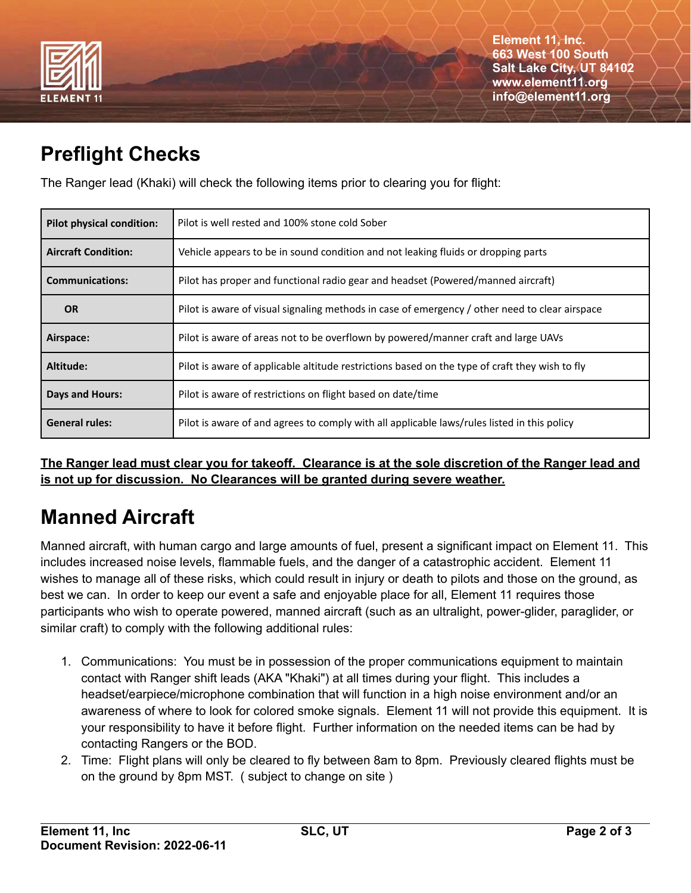

#### **Preflight Checks**

The Ranger lead (Khaki) will check the following items prior to clearing you for flight:

| <b>Pilot physical condition:</b> | Pilot is well rested and 100% stone cold Sober                                                 |
|----------------------------------|------------------------------------------------------------------------------------------------|
| <b>Aircraft Condition:</b>       | Vehicle appears to be in sound condition and not leaking fluids or dropping parts              |
| <b>Communications:</b>           | Pilot has proper and functional radio gear and headset (Powered/manned aircraft)               |
| <b>OR</b>                        | Pilot is aware of visual signaling methods in case of emergency / other need to clear airspace |
| Airspace:                        | Pilot is aware of areas not to be overflown by powered/manner craft and large UAVs             |
| Altitude:                        | Pilot is aware of applicable altitude restrictions based on the type of craft they wish to fly |
| <b>Days and Hours:</b>           | Pilot is aware of restrictions on flight based on date/time                                    |
| <b>General rules:</b>            | Pilot is aware of and agrees to comply with all applicable laws/rules listed in this policy    |

The Ranger lead must clear you for takeoff. Clearance is at the sole discretion of the Ranger lead and **is not up for discussion. No Clearances will be granted during severe weather.**

# **Manned Aircraft**

Manned aircraft, with human cargo and large amounts of fuel, present a significant impact on Element 11. This includes increased noise levels, flammable fuels, and the danger of a catastrophic accident. Element 11 wishes to manage all of these risks, which could result in injury or death to pilots and those on the ground, as best we can. In order to keep our event a safe and enjoyable place for all, Element 11 requires those participants who wish to operate powered, manned aircraft (such as an ultralight, power-glider, paraglider, or similar craft) to comply with the following additional rules:

- 1. Communications: You must be in possession of the proper communications equipment to maintain contact with Ranger shift leads (AKA "Khaki") at all times during your flight. This includes a headset/earpiece/microphone combination that will function in a high noise environment and/or an awareness of where to look for colored smoke signals. Element 11 will not provide this equipment. It is your responsibility to have it before flight. Further information on the needed items can be had by contacting Rangers or the BOD.
- 2. Time: Flight plans will only be cleared to fly between 8am to 8pm. Previously cleared flights must be on the ground by 8pm MST. ( subject to change on site )